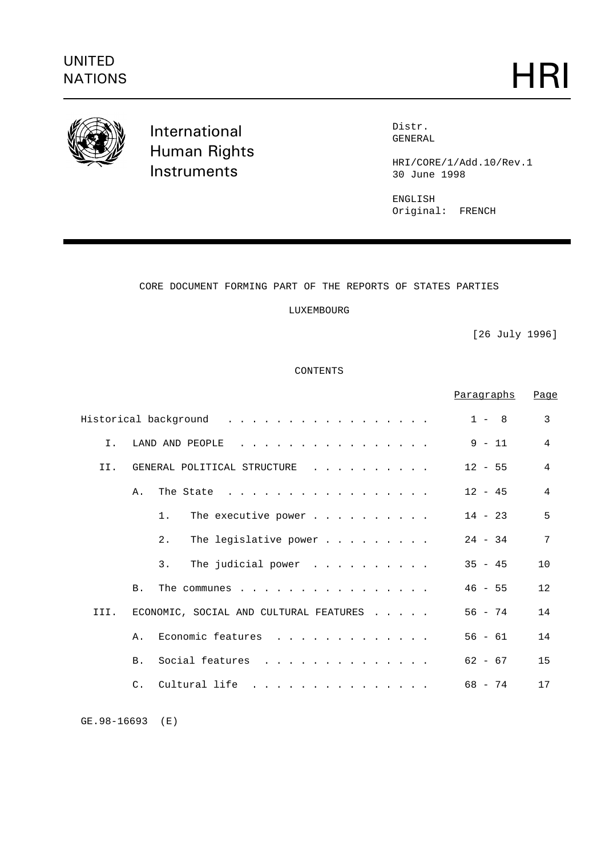

International Human Rights **Instruments** 

Distr. GENERAL

HRI/CORE/1/Add.10/Rev.1 30 June 1998

ENGLISH Original: FRENCH

# CORE DOCUMENT FORMING PART OF THE REPORTS OF STATES PARTIES

LUXEMBOURG

[26 July 1996]

CONTENTS

|                |            |                                                                                                                                                                                                                  | <u>Paragraphs</u> | Page           |
|----------------|------------|------------------------------------------------------------------------------------------------------------------------------------------------------------------------------------------------------------------|-------------------|----------------|
|                |            | Historical background                                                                                                                                                                                            | $1 - 8$           | 3              |
| $T_{\rm{tot}}$ |            | LAND AND PEOPLE<br>$\frac{1}{2}$ , $\frac{1}{2}$ , $\frac{1}{2}$ , $\frac{1}{2}$ , $\frac{1}{2}$ , $\frac{1}{2}$ , $\frac{1}{2}$ , $\frac{1}{2}$ , $\frac{1}{2}$ , $\frac{1}{2}$ , $\frac{1}{2}$ , $\frac{1}{2}$ | $9 - 11$          | $\overline{4}$ |
| II.            |            | GENERAL POLITICAL STRUCTURE<br>$\mathbf{r}$ . The state of the state $\mathbf{r}$                                                                                                                                | $12 - 55$         | 4              |
|                | Α.         | The State                                                                                                                                                                                                        | $12 - 45$         | 4              |
|                |            | 1 <sub>1</sub><br>The executive power $\cdots$                                                                                                                                                                   | $14 - 23$         | 5              |
|                |            | 2.<br>The legislative power $\ldots$                                                                                                                                                                             | $24 - 34$         | 7              |
|                |            | The judicial power<br>3.                                                                                                                                                                                         | $35 - 45$         | 10             |
|                | <b>B.</b>  | The communes $\cdots$ $\cdots$ $\cdots$ $\cdots$ $\cdots$ $\cdots$                                                                                                                                               | $46 - 55$         | 12             |
| III.           |            | ECONOMIC, SOCIAL AND CULTURAL FEATURES                                                                                                                                                                           | $56 - 74$         | 14             |
|                | Α.         | Economic features                                                                                                                                                                                                | $56 - 61$         | 14             |
|                | <b>B</b> . | Social features                                                                                                                                                                                                  | $62 - 67$         | 15             |
|                |            | C. Cultural life                                                                                                                                                                                                 | $68 - 74$         | 17             |

GE.98-16693 (E)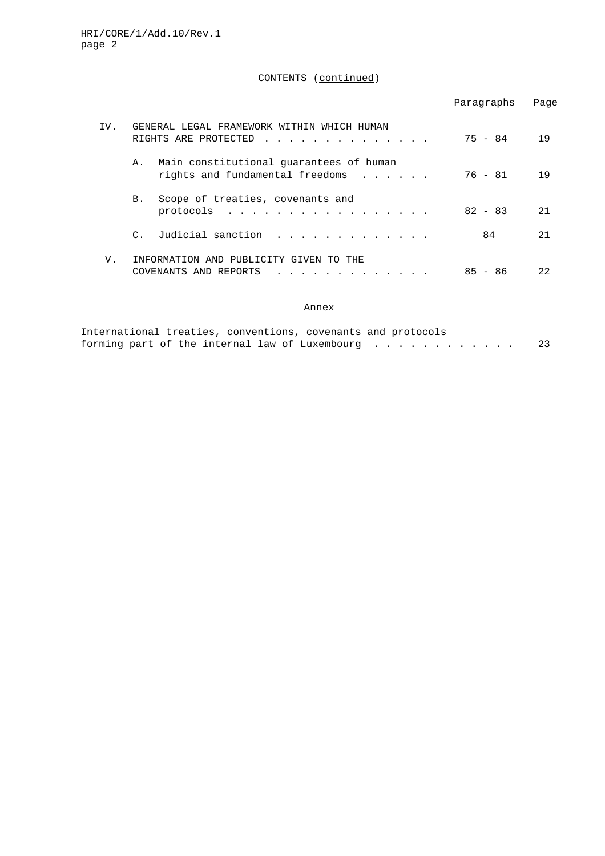# CONTENTS (continued)

|     |                                                                                  | Paragraphs | Page |
|-----|----------------------------------------------------------------------------------|------------|------|
| TV. | GENERAL LEGAL FRAMEWORK WITHIN WHICH HUMAN<br>RIGHTS ARE PROTECTED               | 75 - 84    | 19   |
|     | Main constitutional guarantees of human<br>Α.<br>rights and fundamental freedoms | 76 - 81    | 19   |
|     | Scope of treaties, covenants and<br>B.<br>protocols                              | $82 - 83$  | 2.1  |
|     | Judicial sanction<br>$\mathcal{C}$ .                                             | 84         | 2.1  |
| V.  | INFORMATION AND PUBLICITY GIVEN<br>THE.<br>TO<br>COVENANTS AND REPORTS           | 85<br>- 86 | 22   |

# Annex

|  |  |  | International treaties, conventions, covenants and protocols |  |  |  |  |  |    |
|--|--|--|--------------------------------------------------------------|--|--|--|--|--|----|
|  |  |  | forming part of the internal law of Luxembourg $\dots$ ,     |  |  |  |  |  | 23 |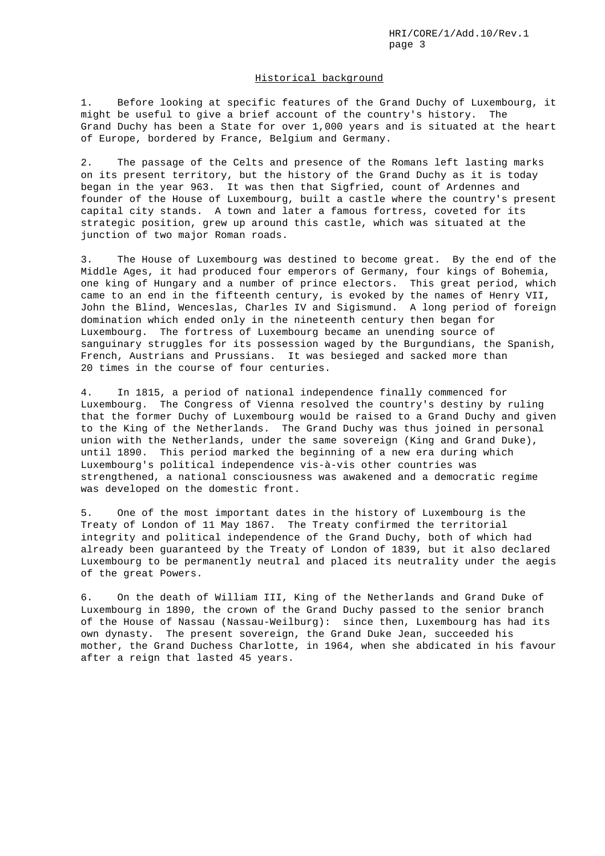#### Historical background

1. Before looking at specific features of the Grand Duchy of Luxembourg, it might be useful to give a brief account of the country's history. The Grand Duchy has been a State for over 1,000 years and is situated at the heart of Europe, bordered by France, Belgium and Germany.

2. The passage of the Celts and presence of the Romans left lasting marks on its present territory, but the history of the Grand Duchy as it is today began in the year 963. It was then that Sigfried, count of Ardennes and founder of the House of Luxembourg, built a castle where the country's present capital city stands. A town and later a famous fortress, coveted for its strategic position, grew up around this castle, which was situated at the junction of two major Roman roads.

3. The House of Luxembourg was destined to become great. By the end of the Middle Ages, it had produced four emperors of Germany, four kings of Bohemia, one king of Hungary and a number of prince electors. This great period, which came to an end in the fifteenth century, is evoked by the names of Henry VII, John the Blind, Wenceslas, Charles IV and Sigismund. A long period of foreign domination which ended only in the nineteenth century then began for Luxembourg. The fortress of Luxembourg became an unending source of sanguinary struggles for its possession waged by the Burgundians, the Spanish, French, Austrians and Prussians. It was besieged and sacked more than 20 times in the course of four centuries.

4. In 1815, a period of national independence finally commenced for Luxembourg. The Congress of Vienna resolved the country's destiny by ruling that the former Duchy of Luxembourg would be raised to a Grand Duchy and given to the King of the Netherlands. The Grand Duchy was thus joined in personal union with the Netherlands, under the same sovereign (King and Grand Duke), until 1890. This period marked the beginning of a new era during which Luxembourg's political independence vis-à-vis other countries was strengthened, a national consciousness was awakened and a democratic regime was developed on the domestic front.

5. One of the most important dates in the history of Luxembourg is the Treaty of London of 11 May 1867. The Treaty confirmed the territorial integrity and political independence of the Grand Duchy, both of which had already been guaranteed by the Treaty of London of 1839, but it also declared Luxembourg to be permanently neutral and placed its neutrality under the aegis of the great Powers.

6. On the death of William III, King of the Netherlands and Grand Duke of Luxembourg in 1890, the crown of the Grand Duchy passed to the senior branch of the House of Nassau (Nassau-Weilburg): since then, Luxembourg has had its own dynasty. The present sovereign, the Grand Duke Jean, succeeded his mother, the Grand Duchess Charlotte, in 1964, when she abdicated in his favour after a reign that lasted 45 years.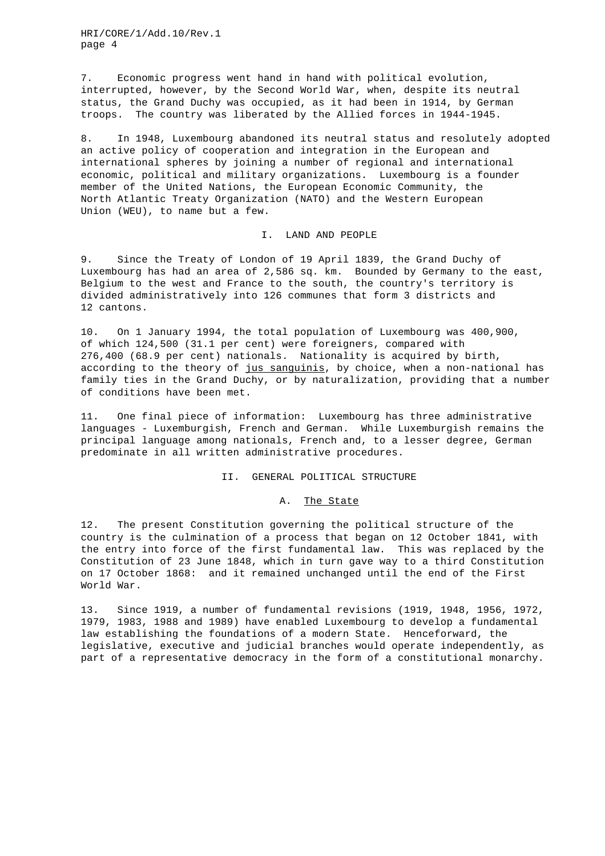7. Economic progress went hand in hand with political evolution, interrupted, however, by the Second World War, when, despite its neutral status, the Grand Duchy was occupied, as it had been in 1914, by German troops. The country was liberated by the Allied forces in 1944-1945.

8. In 1948, Luxembourg abandoned its neutral status and resolutely adopted an active policy of cooperation and integration in the European and international spheres by joining a number of regional and international economic, political and military organizations. Luxembourg is a founder member of the United Nations, the European Economic Community, the North Atlantic Treaty Organization (NATO) and the Western European Union (WEU), to name but a few.

### I. LAND AND PEOPLE

9. Since the Treaty of London of 19 April 1839, the Grand Duchy of Luxembourg has had an area of 2,586 sq. km. Bounded by Germany to the east, Belgium to the west and France to the south, the country's territory is divided administratively into 126 communes that form 3 districts and 12 cantons.

10. On 1 January 1994, the total population of Luxembourg was 400,900, of which 124,500 (31.1 per cent) were foreigners, compared with 276,400 (68.9 per cent) nationals. Nationality is acquired by birth, according to the theory of jus sanguinis, by choice, when a non-national has family ties in the Grand Duchy, or by naturalization, providing that a number of conditions have been met.

11. One final piece of information: Luxembourg has three administrative languages - Luxemburgish, French and German. While Luxemburgish remains the principal language among nationals, French and, to a lesser degree, German predominate in all written administrative procedures.

## II. GENERAL POLITICAL STRUCTURE

### A. The State

12. The present Constitution governing the political structure of the country is the culmination of a process that began on 12 October 1841, with the entry into force of the first fundamental law. This was replaced by the Constitution of 23 June 1848, which in turn gave way to a third Constitution on 17 October 1868: and it remained unchanged until the end of the First World War.

13. Since 1919, a number of fundamental revisions (1919, 1948, 1956, 1972, 1979, 1983, 1988 and 1989) have enabled Luxembourg to develop a fundamental law establishing the foundations of a modern State. Henceforward, the legislative, executive and judicial branches would operate independently, as part of a representative democracy in the form of a constitutional monarchy.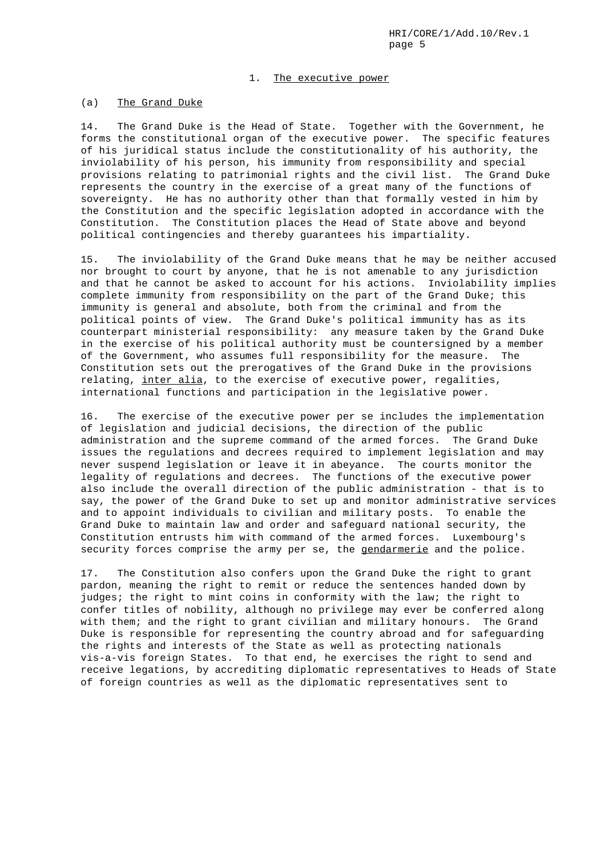#### 1. The executive power

### (a) The Grand Duke

14. The Grand Duke is the Head of State. Together with the Government, he forms the constitutional organ of the executive power. The specific features of his juridical status include the constitutionality of his authority, the inviolability of his person, his immunity from responsibility and special provisions relating to patrimonial rights and the civil list. The Grand Duke represents the country in the exercise of a great many of the functions of sovereignty. He has no authority other than that formally vested in him by the Constitution and the specific legislation adopted in accordance with the Constitution. The Constitution places the Head of State above and beyond political contingencies and thereby guarantees his impartiality.

15. The inviolability of the Grand Duke means that he may be neither accused nor brought to court by anyone, that he is not amenable to any jurisdiction and that he cannot be asked to account for his actions. Inviolability implies complete immunity from responsibility on the part of the Grand Duke; this immunity is general and absolute, both from the criminal and from the political points of view. The Grand Duke's political immunity has as its counterpart ministerial responsibility: any measure taken by the Grand Duke in the exercise of his political authority must be countersigned by a member of the Government, who assumes full responsibility for the measure. The Constitution sets out the prerogatives of the Grand Duke in the provisions relating, inter alia, to the exercise of executive power, regalities, international functions and participation in the legislative power.

16. The exercise of the executive power per se includes the implementation of legislation and judicial decisions, the direction of the public administration and the supreme command of the armed forces. The Grand Duke issues the regulations and decrees required to implement legislation and may never suspend legislation or leave it in abeyance. The courts monitor the legality of regulations and decrees. The functions of the executive power also include the overall direction of the public administration - that is to say, the power of the Grand Duke to set up and monitor administrative services and to appoint individuals to civilian and military posts. To enable the Grand Duke to maintain law and order and safeguard national security, the Constitution entrusts him with command of the armed forces. Luxembourg's security forces comprise the army per se, the gendarmerie and the police.

17. The Constitution also confers upon the Grand Duke the right to grant pardon, meaning the right to remit or reduce the sentences handed down by judges; the right to mint coins in conformity with the law; the right to confer titles of nobility, although no privilege may ever be conferred along with them; and the right to grant civilian and military honours. The Grand Duke is responsible for representing the country abroad and for safeguarding the rights and interests of the State as well as protecting nationals vis-a-vis foreign States. To that end, he exercises the right to send and receive legations, by accrediting diplomatic representatives to Heads of State of foreign countries as well as the diplomatic representatives sent to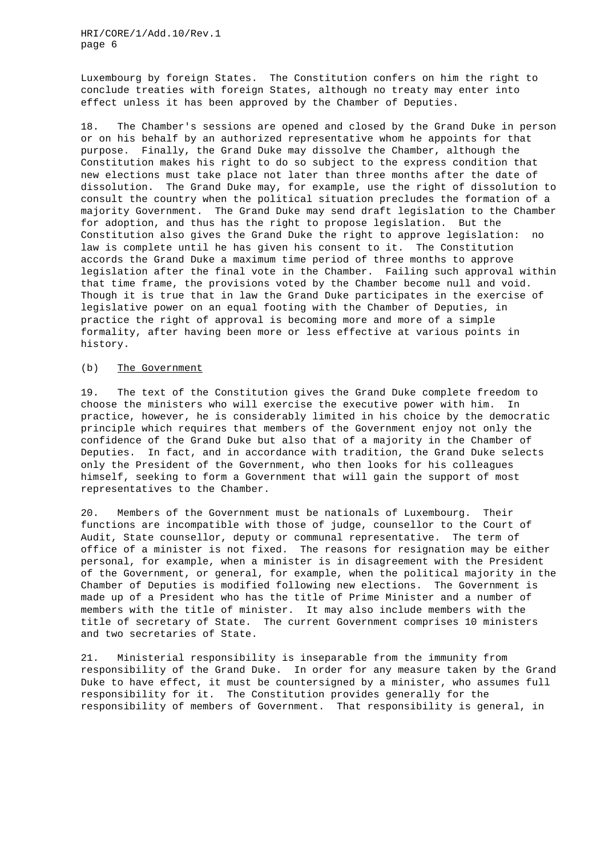Luxembourg by foreign States. The Constitution confers on him the right to conclude treaties with foreign States, although no treaty may enter into effect unless it has been approved by the Chamber of Deputies.

18. The Chamber's sessions are opened and closed by the Grand Duke in person or on his behalf by an authorized representative whom he appoints for that purpose. Finally, the Grand Duke may dissolve the Chamber, although the Constitution makes his right to do so subject to the express condition that new elections must take place not later than three months after the date of dissolution. The Grand Duke may, for example, use the right of dissolution to consult the country when the political situation precludes the formation of a majority Government. The Grand Duke may send draft legislation to the Chamber for adoption, and thus has the right to propose legislation. But the Constitution also gives the Grand Duke the right to approve legislation: no law is complete until he has given his consent to it. The Constitution accords the Grand Duke a maximum time period of three months to approve legislation after the final vote in the Chamber. Failing such approval within that time frame, the provisions voted by the Chamber become null and void. Though it is true that in law the Grand Duke participates in the exercise of legislative power on an equal footing with the Chamber of Deputies, in practice the right of approval is becoming more and more of a simple formality, after having been more or less effective at various points in history.

#### (b) The Government

19. The text of the Constitution gives the Grand Duke complete freedom to choose the ministers who will exercise the executive power with him. In practice, however, he is considerably limited in his choice by the democratic principle which requires that members of the Government enjoy not only the confidence of the Grand Duke but also that of a majority in the Chamber of Deputies. In fact, and in accordance with tradition, the Grand Duke selects only the President of the Government, who then looks for his colleagues himself, seeking to form a Government that will gain the support of most representatives to the Chamber.

20. Members of the Government must be nationals of Luxembourg. Their functions are incompatible with those of judge, counsellor to the Court of Audit, State counsellor, deputy or communal representative. The term of office of a minister is not fixed. The reasons for resignation may be either personal, for example, when a minister is in disagreement with the President of the Government, or general, for example, when the political majority in the Chamber of Deputies is modified following new elections. The Government is made up of a President who has the title of Prime Minister and a number of members with the title of minister. It may also include members with the title of secretary of State. The current Government comprises 10 ministers and two secretaries of State.

21. Ministerial responsibility is inseparable from the immunity from responsibility of the Grand Duke. In order for any measure taken by the Grand Duke to have effect, it must be countersigned by a minister, who assumes full responsibility for it. The Constitution provides generally for the responsibility of members of Government. That responsibility is general, in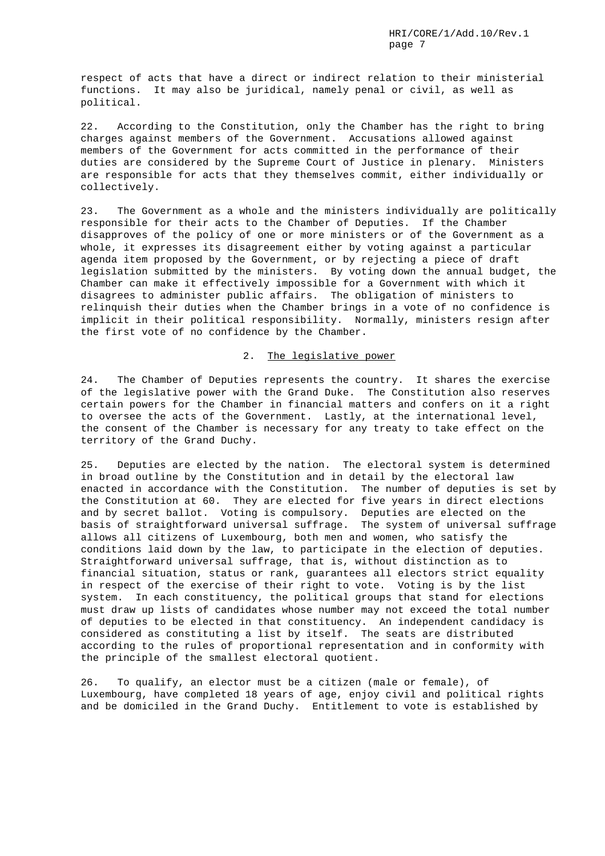respect of acts that have a direct or indirect relation to their ministerial functions. It may also be juridical, namely penal or civil, as well as political.

22. According to the Constitution, only the Chamber has the right to bring charges against members of the Government. Accusations allowed against members of the Government for acts committed in the performance of their duties are considered by the Supreme Court of Justice in plenary. Ministers are responsible for acts that they themselves commit, either individually or collectively.

23. The Government as a whole and the ministers individually are politically responsible for their acts to the Chamber of Deputies. If the Chamber disapproves of the policy of one or more ministers or of the Government as a whole, it expresses its disagreement either by voting against a particular agenda item proposed by the Government, or by rejecting a piece of draft legislation submitted by the ministers. By voting down the annual budget, the Chamber can make it effectively impossible for a Government with which it disagrees to administer public affairs. The obligation of ministers to relinquish their duties when the Chamber brings in a vote of no confidence is implicit in their political responsibility. Normally, ministers resign after the first vote of no confidence by the Chamber.

## 2. The legislative power

24. The Chamber of Deputies represents the country. It shares the exercise of the legislative power with the Grand Duke. The Constitution also reserves certain powers for the Chamber in financial matters and confers on it a right to oversee the acts of the Government. Lastly, at the international level, the consent of the Chamber is necessary for any treaty to take effect on the territory of the Grand Duchy.

25. Deputies are elected by the nation. The electoral system is determined in broad outline by the Constitution and in detail by the electoral law enacted in accordance with the Constitution. The number of deputies is set by the Constitution at 60. They are elected for five years in direct elections and by secret ballot. Voting is compulsory. Deputies are elected on the basis of straightforward universal suffrage. The system of universal suffrage allows all citizens of Luxembourg, both men and women, who satisfy the conditions laid down by the law, to participate in the election of deputies. Straightforward universal suffrage, that is, without distinction as to financial situation, status or rank, guarantees all electors strict equality in respect of the exercise of their right to vote. Voting is by the list system. In each constituency, the political groups that stand for elections must draw up lists of candidates whose number may not exceed the total number of deputies to be elected in that constituency. An independent candidacy is considered as constituting a list by itself. The seats are distributed according to the rules of proportional representation and in conformity with the principle of the smallest electoral quotient.

26. To qualify, an elector must be a citizen (male or female), of Luxembourg, have completed 18 years of age, enjoy civil and political rights and be domiciled in the Grand Duchy. Entitlement to vote is established by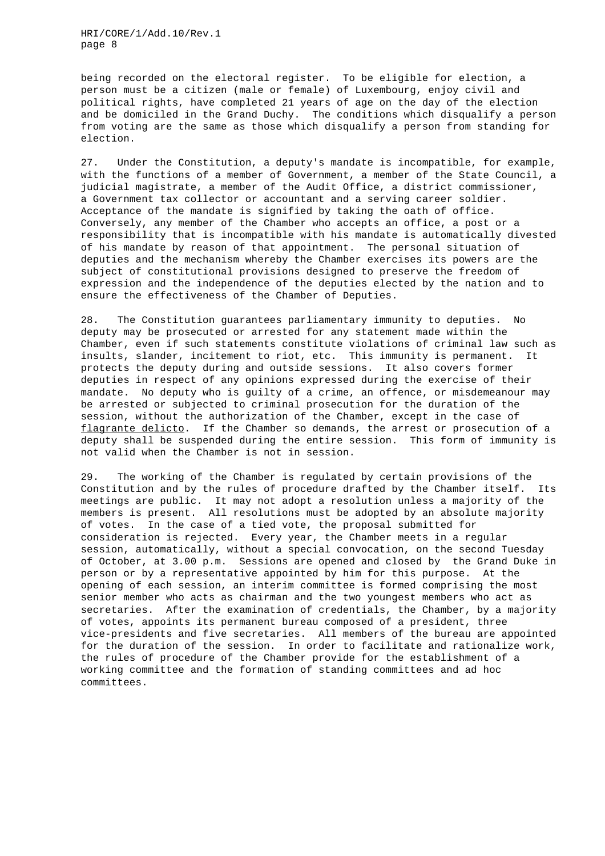being recorded on the electoral register. To be eligible for election, a person must be a citizen (male or female) of Luxembourg, enjoy civil and political rights, have completed 21 years of age on the day of the election and be domiciled in the Grand Duchy. The conditions which disqualify a person from voting are the same as those which disqualify a person from standing for election.

27. Under the Constitution, a deputy's mandate is incompatible, for example, with the functions of a member of Government, a member of the State Council, a judicial magistrate, a member of the Audit Office, a district commissioner, a Government tax collector or accountant and a serving career soldier. Acceptance of the mandate is signified by taking the oath of office. Conversely, any member of the Chamber who accepts an office, a post or a responsibility that is incompatible with his mandate is automatically divested of his mandate by reason of that appointment. The personal situation of deputies and the mechanism whereby the Chamber exercises its powers are the subject of constitutional provisions designed to preserve the freedom of expression and the independence of the deputies elected by the nation and to ensure the effectiveness of the Chamber of Deputies.

28. The Constitution guarantees parliamentary immunity to deputies. No deputy may be prosecuted or arrested for any statement made within the Chamber, even if such statements constitute violations of criminal law such as insults, slander, incitement to riot, etc. This immunity is permanent. It protects the deputy during and outside sessions. It also covers former deputies in respect of any opinions expressed during the exercise of their mandate. No deputy who is guilty of a crime, an offence, or misdemeanour may be arrested or subjected to criminal prosecution for the duration of the session, without the authorization of the Chamber, except in the case of flagrante delicto. If the Chamber so demands, the arrest or prosecution of a deputy shall be suspended during the entire session. This form of immunity is not valid when the Chamber is not in session.

29. The working of the Chamber is regulated by certain provisions of the Constitution and by the rules of procedure drafted by the Chamber itself. Its meetings are public. It may not adopt a resolution unless a majority of the members is present. All resolutions must be adopted by an absolute majority of votes. In the case of a tied vote, the proposal submitted for consideration is rejected. Every year, the Chamber meets in a regular session, automatically, without a special convocation, on the second Tuesday of October, at 3.00 p.m. Sessions are opened and closed by the Grand Duke in person or by a representative appointed by him for this purpose. At the opening of each session, an interim committee is formed comprising the most senior member who acts as chairman and the two youngest members who act as secretaries. After the examination of credentials, the Chamber, by a majority of votes, appoints its permanent bureau composed of a president, three vice-presidents and five secretaries. All members of the bureau are appointed for the duration of the session. In order to facilitate and rationalize work, the rules of procedure of the Chamber provide for the establishment of a working committee and the formation of standing committees and ad hoc committees.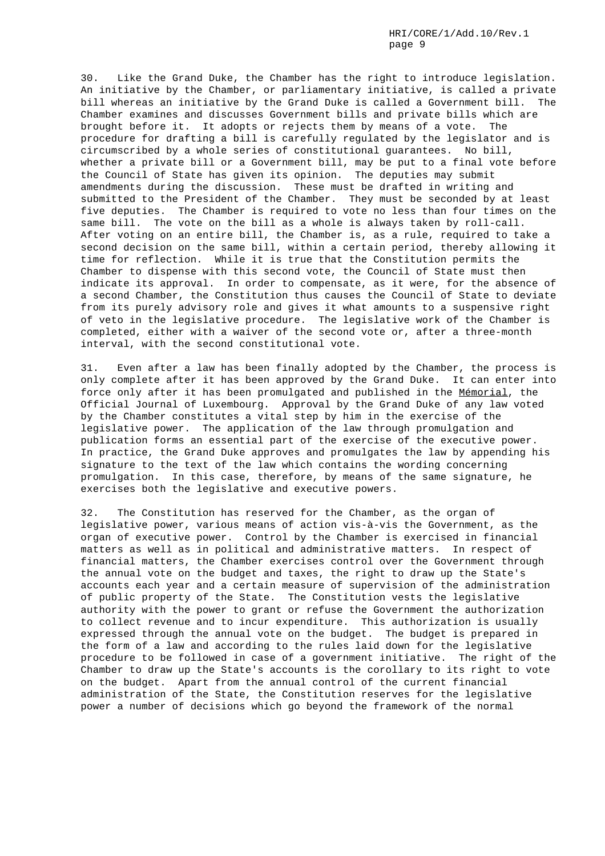30. Like the Grand Duke, the Chamber has the right to introduce legislation. An initiative by the Chamber, or parliamentary initiative, is called a private bill whereas an initiative by the Grand Duke is called a Government bill. The Chamber examines and discusses Government bills and private bills which are brought before it. It adopts or rejects them by means of a vote. The procedure for drafting a bill is carefully regulated by the legislator and is circumscribed by a whole series of constitutional guarantees. No bill, whether a private bill or a Government bill, may be put to a final vote before the Council of State has given its opinion. The deputies may submit amendments during the discussion. These must be drafted in writing and submitted to the President of the Chamber. They must be seconded by at least five deputies. The Chamber is required to vote no less than four times on the same bill. The vote on the bill as a whole is always taken by roll-call. After voting on an entire bill, the Chamber is, as a rule, required to take a second decision on the same bill, within a certain period, thereby allowing it time for reflection. While it is true that the Constitution permits the Chamber to dispense with this second vote, the Council of State must then indicate its approval. In order to compensate, as it were, for the absence of a second Chamber, the Constitution thus causes the Council of State to deviate from its purely advisory role and gives it what amounts to a suspensive right of veto in the legislative procedure. The legislative work of the Chamber is completed, either with a waiver of the second vote or, after a three-month interval, with the second constitutional vote.

31. Even after a law has been finally adopted by the Chamber, the process is only complete after it has been approved by the Grand Duke. It can enter into force only after it has been promulgated and published in the Mémorial, the Official Journal of Luxembourg. Approval by the Grand Duke of any law voted by the Chamber constitutes a vital step by him in the exercise of the legislative power. The application of the law through promulgation and publication forms an essential part of the exercise of the executive power. In practice, the Grand Duke approves and promulgates the law by appending his signature to the text of the law which contains the wording concerning promulgation. In this case, therefore, by means of the same signature, he exercises both the legislative and executive powers.

32. The Constitution has reserved for the Chamber, as the organ of legislative power, various means of action vis-à-vis the Government, as the organ of executive power. Control by the Chamber is exercised in financial matters as well as in political and administrative matters. In respect of financial matters, the Chamber exercises control over the Government through the annual vote on the budget and taxes, the right to draw up the State's accounts each year and a certain measure of supervision of the administration of public property of the State. The Constitution vests the legislative authority with the power to grant or refuse the Government the authorization to collect revenue and to incur expenditure. This authorization is usually expressed through the annual vote on the budget. The budget is prepared in the form of a law and according to the rules laid down for the legislative procedure to be followed in case of a government initiative. The right of the Chamber to draw up the State's accounts is the corollary to its right to vote on the budget. Apart from the annual control of the current financial administration of the State, the Constitution reserves for the legislative power a number of decisions which go beyond the framework of the normal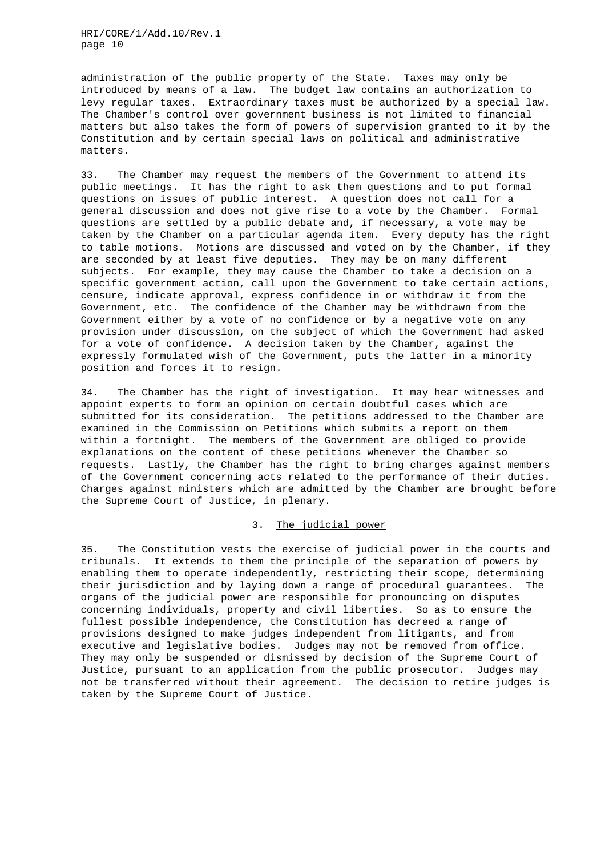administration of the public property of the State. Taxes may only be introduced by means of a law. The budget law contains an authorization to levy regular taxes. Extraordinary taxes must be authorized by a special law. The Chamber's control over government business is not limited to financial matters but also takes the form of powers of supervision granted to it by the Constitution and by certain special laws on political and administrative matters.

33. The Chamber may request the members of the Government to attend its public meetings. It has the right to ask them questions and to put formal questions on issues of public interest. A question does not call for a general discussion and does not give rise to a vote by the Chamber. Formal questions are settled by a public debate and, if necessary, a vote may be taken by the Chamber on a particular agenda item. Every deputy has the right to table motions. Motions are discussed and voted on by the Chamber, if they are seconded by at least five deputies. They may be on many different subjects. For example, they may cause the Chamber to take a decision on a specific government action, call upon the Government to take certain actions, censure, indicate approval, express confidence in or withdraw it from the Government, etc. The confidence of the Chamber may be withdrawn from the Government either by a vote of no confidence or by a negative vote on any provision under discussion, on the subject of which the Government had asked for a vote of confidence. A decision taken by the Chamber, against the expressly formulated wish of the Government, puts the latter in a minority position and forces it to resign.

34. The Chamber has the right of investigation. It may hear witnesses and appoint experts to form an opinion on certain doubtful cases which are submitted for its consideration. The petitions addressed to the Chamber are examined in the Commission on Petitions which submits a report on them within a fortnight. The members of the Government are obliged to provide explanations on the content of these petitions whenever the Chamber so requests. Lastly, the Chamber has the right to bring charges against members of the Government concerning acts related to the performance of their duties. Charges against ministers which are admitted by the Chamber are brought before the Supreme Court of Justice, in plenary.

## 3. The judicial power

35. The Constitution vests the exercise of judicial power in the courts and tribunals. It extends to them the principle of the separation of powers by enabling them to operate independently, restricting their scope, determining their jurisdiction and by laying down a range of procedural guarantees. The organs of the judicial power are responsible for pronouncing on disputes concerning individuals, property and civil liberties. So as to ensure the fullest possible independence, the Constitution has decreed a range of provisions designed to make judges independent from litigants, and from executive and legislative bodies. Judges may not be removed from office. They may only be suspended or dismissed by decision of the Supreme Court of Justice, pursuant to an application from the public prosecutor. Judges may not be transferred without their agreement. The decision to retire judges is taken by the Supreme Court of Justice.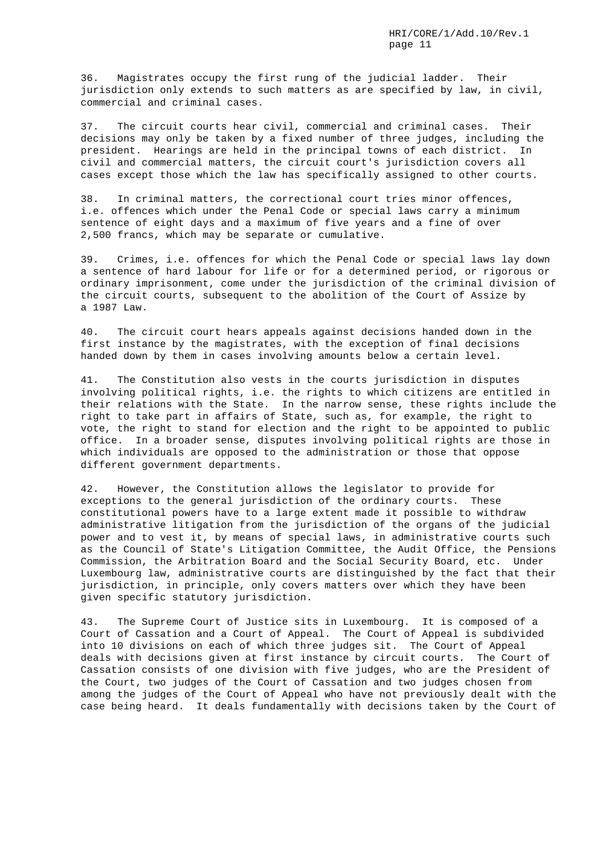36. Magistrates occupy the first rung of the judicial ladder. Their jurisdiction only extends to such matters as are specified by law, in civil, commercial and criminal cases.

37. The circuit courts hear civil, commercial and criminal cases. Their decisions may only be taken by a fixed number of three judges, including the president. Hearings are held in the principal towns of each district. In civil and commercial matters, the circuit court's jurisdiction covers all cases except those which the law has specifically assigned to other courts.

38. In criminal matters, the correctional court tries minor offences, i.e. offences which under the Penal Code or special laws carry a minimum sentence of eight days and a maximum of five years and a fine of over 2,500 francs, which may be separate or cumulative.

39. Crimes, i.e. offences for which the Penal Code or special laws lay down a sentence of hard labour for life or for a determined period, or rigorous or ordinary imprisonment, come under the jurisdiction of the criminal division of the circuit courts, subsequent to the abolition of the Court of Assize by a 1987 Law.

40. The circuit court hears appeals against decisions handed down in the first instance by the magistrates, with the exception of final decisions handed down by them in cases involving amounts below a certain level.

41. The Constitution also vests in the courts jurisdiction in disputes involving political rights, i.e. the rights to which citizens are entitled in their relations with the State. In the narrow sense, these rights include the right to take part in affairs of State, such as, for example, the right to vote, the right to stand for election and the right to be appointed to public office. In a broader sense, disputes involving political rights are those in which individuals are opposed to the administration or those that oppose different government departments.

42. However, the Constitution allows the legislator to provide for exceptions to the general jurisdiction of the ordinary courts. These constitutional powers have to a large extent made it possible to withdraw administrative litigation from the jurisdiction of the organs of the judicial power and to vest it, by means of special laws, in administrative courts such as the Council of State's Litigation Committee, the Audit Office, the Pensions Commission, the Arbitration Board and the Social Security Board, etc. Under Luxembourg law, administrative courts are distinguished by the fact that their jurisdiction, in principle, only covers matters over which they have been given specific statutory jurisdiction.

43. The Supreme Court of Justice sits in Luxembourg. It is composed of a Court of Cassation and a Court of Appeal. The Court of Appeal is subdivided into 10 divisions on each of which three judges sit. The Court of Appeal deals with decisions given at first instance by circuit courts. The Court of Cassation consists of one division with five judges, who are the President of the Court, two judges of the Court of Cassation and two judges chosen from among the judges of the Court of Appeal who have not previously dealt with the case being heard. It deals fundamentally with decisions taken by the Court of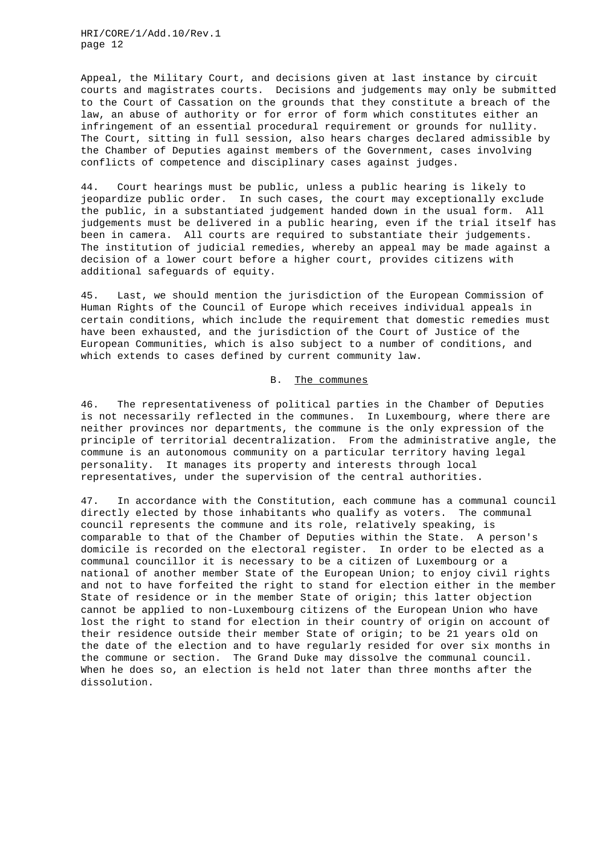Appeal, the Military Court, and decisions given at last instance by circuit courts and magistrates courts. Decisions and judgements may only be submitted to the Court of Cassation on the grounds that they constitute a breach of the law, an abuse of authority or for error of form which constitutes either an infringement of an essential procedural requirement or grounds for nullity. The Court, sitting in full session, also hears charges declared admissible by the Chamber of Deputies against members of the Government, cases involving conflicts of competence and disciplinary cases against judges.

44. Court hearings must be public, unless a public hearing is likely to jeopardize public order. In such cases, the court may exceptionally exclude the public, in a substantiated judgement handed down in the usual form. All judgements must be delivered in a public hearing, even if the trial itself has been in camera. All courts are required to substantiate their judgements. The institution of judicial remedies, whereby an appeal may be made against a decision of a lower court before a higher court, provides citizens with additional safeguards of equity.

45. Last, we should mention the jurisdiction of the European Commission of Human Rights of the Council of Europe which receives individual appeals in certain conditions, which include the requirement that domestic remedies must have been exhausted, and the jurisdiction of the Court of Justice of the European Communities, which is also subject to a number of conditions, and which extends to cases defined by current community law.

#### B. The communes

46. The representativeness of political parties in the Chamber of Deputies is not necessarily reflected in the communes. In Luxembourg, where there are neither provinces nor departments, the commune is the only expression of the principle of territorial decentralization. From the administrative angle, the commune is an autonomous community on a particular territory having legal personality. It manages its property and interests through local representatives, under the supervision of the central authorities.

47. In accordance with the Constitution, each commune has a communal council directly elected by those inhabitants who qualify as voters. The communal council represents the commune and its role, relatively speaking, is comparable to that of the Chamber of Deputies within the State. A person's domicile is recorded on the electoral register. In order to be elected as a communal councillor it is necessary to be a citizen of Luxembourg or a national of another member State of the European Union; to enjoy civil rights and not to have forfeited the right to stand for election either in the member State of residence or in the member State of origin; this latter objection cannot be applied to non-Luxembourg citizens of the European Union who have lost the right to stand for election in their country of origin on account of their residence outside their member State of origin; to be 21 years old on the date of the election and to have regularly resided for over six months in the commune or section. The Grand Duke may dissolve the communal council. When he does so, an election is held not later than three months after the dissolution.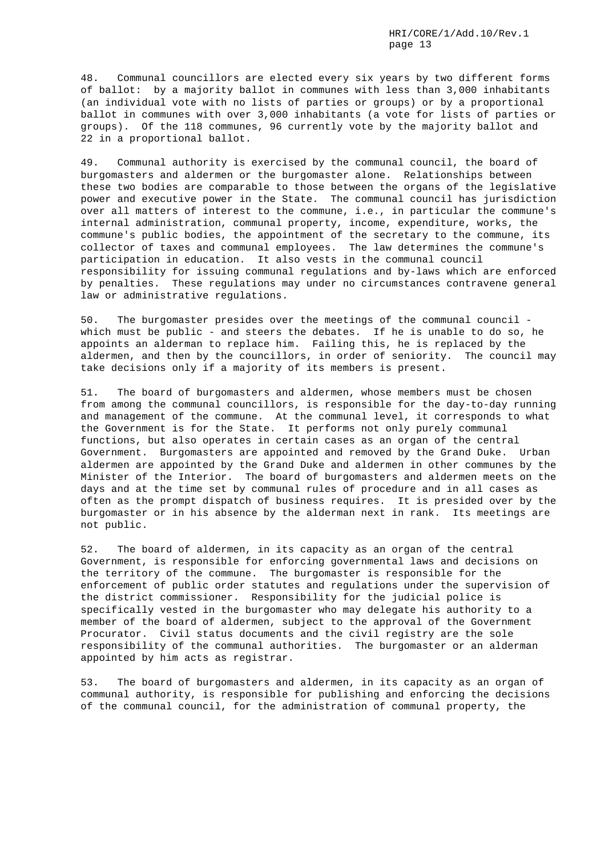48. Communal councillors are elected every six years by two different forms of ballot: by a majority ballot in communes with less than 3,000 inhabitants (an individual vote with no lists of parties or groups) or by a proportional ballot in communes with over 3,000 inhabitants (a vote for lists of parties or groups). Of the 118 communes, 96 currently vote by the majority ballot and 22 in a proportional ballot.

49. Communal authority is exercised by the communal council, the board of burgomasters and aldermen or the burgomaster alone. Relationships between these two bodies are comparable to those between the organs of the legislative power and executive power in the State. The communal council has jurisdiction over all matters of interest to the commune, i.e., in particular the commune's internal administration, communal property, income, expenditure, works, the commune's public bodies, the appointment of the secretary to the commune, its collector of taxes and communal employees. The law determines the commune's participation in education. It also vests in the communal council responsibility for issuing communal regulations and by-laws which are enforced by penalties. These regulations may under no circumstances contravene general law or administrative regulations.

50. The burgomaster presides over the meetings of the communal council which must be public - and steers the debates. If he is unable to do so, he appoints an alderman to replace him. Failing this, he is replaced by the aldermen, and then by the councillors, in order of seniority. The council may take decisions only if a majority of its members is present.

51. The board of burgomasters and aldermen, whose members must be chosen from among the communal councillors, is responsible for the day-to-day running and management of the commune. At the communal level, it corresponds to what the Government is for the State. It performs not only purely communal functions, but also operates in certain cases as an organ of the central Government. Burgomasters are appointed and removed by the Grand Duke. Urban aldermen are appointed by the Grand Duke and aldermen in other communes by the Minister of the Interior. The board of burgomasters and aldermen meets on the days and at the time set by communal rules of procedure and in all cases as often as the prompt dispatch of business requires. It is presided over by the burgomaster or in his absence by the alderman next in rank. Its meetings are not public.

52. The board of aldermen, in its capacity as an organ of the central Government, is responsible for enforcing governmental laws and decisions on the territory of the commune. The burgomaster is responsible for the enforcement of public order statutes and regulations under the supervision of the district commissioner. Responsibility for the judicial police is specifically vested in the burgomaster who may delegate his authority to a member of the board of aldermen, subject to the approval of the Government Procurator. Civil status documents and the civil registry are the sole responsibility of the communal authorities. The burgomaster or an alderman appointed by him acts as registrar.

53. The board of burgomasters and aldermen, in its capacity as an organ of communal authority, is responsible for publishing and enforcing the decisions of the communal council, for the administration of communal property, the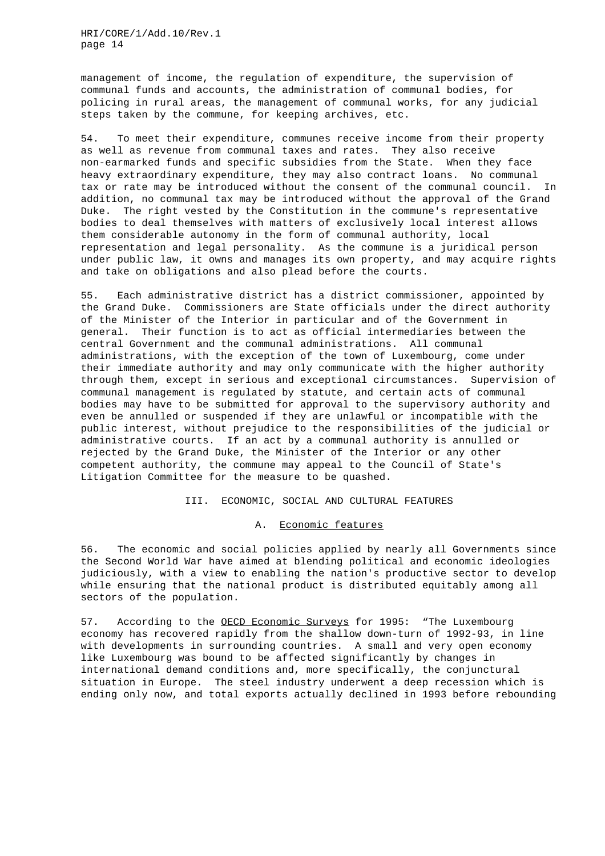management of income, the regulation of expenditure, the supervision of communal funds and accounts, the administration of communal bodies, for policing in rural areas, the management of communal works, for any judicial steps taken by the commune, for keeping archives, etc.

54. To meet their expenditure, communes receive income from their property as well as revenue from communal taxes and rates. They also receive non-earmarked funds and specific subsidies from the State. When they face heavy extraordinary expenditure, they may also contract loans. No communal tax or rate may be introduced without the consent of the communal council. In addition, no communal tax may be introduced without the approval of the Grand Duke. The right vested by the Constitution in the commune's representative bodies to deal themselves with matters of exclusively local interest allows them considerable autonomy in the form of communal authority, local representation and legal personality. As the commune is a juridical person under public law, it owns and manages its own property, and may acquire rights and take on obligations and also plead before the courts.

55. Each administrative district has a district commissioner, appointed by the Grand Duke. Commissioners are State officials under the direct authority of the Minister of the Interior in particular and of the Government in general. Their function is to act as official intermediaries between the central Government and the communal administrations. All communal administrations, with the exception of the town of Luxembourg, come under their immediate authority and may only communicate with the higher authority through them, except in serious and exceptional circumstances. Supervision of communal management is regulated by statute, and certain acts of communal bodies may have to be submitted for approval to the supervisory authority and even be annulled or suspended if they are unlawful or incompatible with the public interest, without prejudice to the responsibilities of the judicial or administrative courts. If an act by a communal authority is annulled or rejected by the Grand Duke, the Minister of the Interior or any other competent authority, the commune may appeal to the Council of State's Litigation Committee for the measure to be quashed.

### III. ECONOMIC, SOCIAL AND CULTURAL FEATURES

#### A. Economic features

56. The economic and social policies applied by nearly all Governments since the Second World War have aimed at blending political and economic ideologies judiciously, with a view to enabling the nation's productive sector to develop while ensuring that the national product is distributed equitably among all sectors of the population.

57. According to the OECD Economic Surveys for 1995: "The Luxembourg economy has recovered rapidly from the shallow down-turn of 1992-93, in line with developments in surrounding countries. A small and very open economy like Luxembourg was bound to be affected significantly by changes in international demand conditions and, more specifically, the conjunctural situation in Europe. The steel industry underwent a deep recession which is ending only now, and total exports actually declined in 1993 before rebounding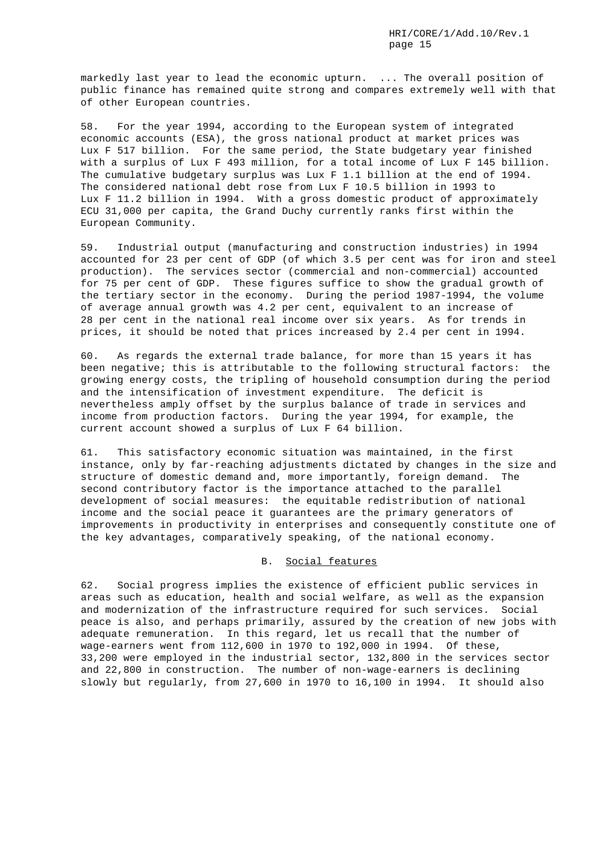markedly last year to lead the economic upturn. ... The overall position of public finance has remained quite strong and compares extremely well with that of other European countries.

58. For the year 1994, according to the European system of integrated economic accounts (ESA), the gross national product at market prices was Lux F 517 billion. For the same period, the State budgetary year finished with a surplus of Lux F 493 million, for a total income of Lux F 145 billion. The cumulative budgetary surplus was Lux F 1.1 billion at the end of 1994. The considered national debt rose from Lux F 10.5 billion in 1993 to Lux F 11.2 billion in 1994. With a gross domestic product of approximately ECU 31,000 per capita, the Grand Duchy currently ranks first within the European Community.

59. Industrial output (manufacturing and construction industries) in 1994 accounted for 23 per cent of GDP (of which 3.5 per cent was for iron and steel production). The services sector (commercial and non-commercial) accounted for 75 per cent of GDP. These figures suffice to show the gradual growth of the tertiary sector in the economy. During the period 1987-1994, the volume of average annual growth was 4.2 per cent, equivalent to an increase of 28 per cent in the national real income over six years. As for trends in prices, it should be noted that prices increased by 2.4 per cent in 1994.

60. As regards the external trade balance, for more than 15 years it has been negative; this is attributable to the following structural factors: the growing energy costs, the tripling of household consumption during the period and the intensification of investment expenditure. The deficit is nevertheless amply offset by the surplus balance of trade in services and income from production factors. During the year 1994, for example, the current account showed a surplus of Lux F 64 billion.

61. This satisfactory economic situation was maintained, in the first instance, only by far-reaching adjustments dictated by changes in the size and structure of domestic demand and, more importantly, foreign demand. The second contributory factor is the importance attached to the parallel development of social measures: the equitable redistribution of national income and the social peace it guarantees are the primary generators of improvements in productivity in enterprises and consequently constitute one of the key advantages, comparatively speaking, of the national economy.

## B. Social features

62. Social progress implies the existence of efficient public services in areas such as education, health and social welfare, as well as the expansion and modernization of the infrastructure required for such services. Social peace is also, and perhaps primarily, assured by the creation of new jobs with adequate remuneration. In this regard, let us recall that the number of wage-earners went from 112,600 in 1970 to 192,000 in 1994. Of these, 33,200 were employed in the industrial sector, 132,800 in the services sector and 22,800 in construction. The number of non-wage-earners is declining slowly but regularly, from 27,600 in 1970 to 16,100 in 1994. It should also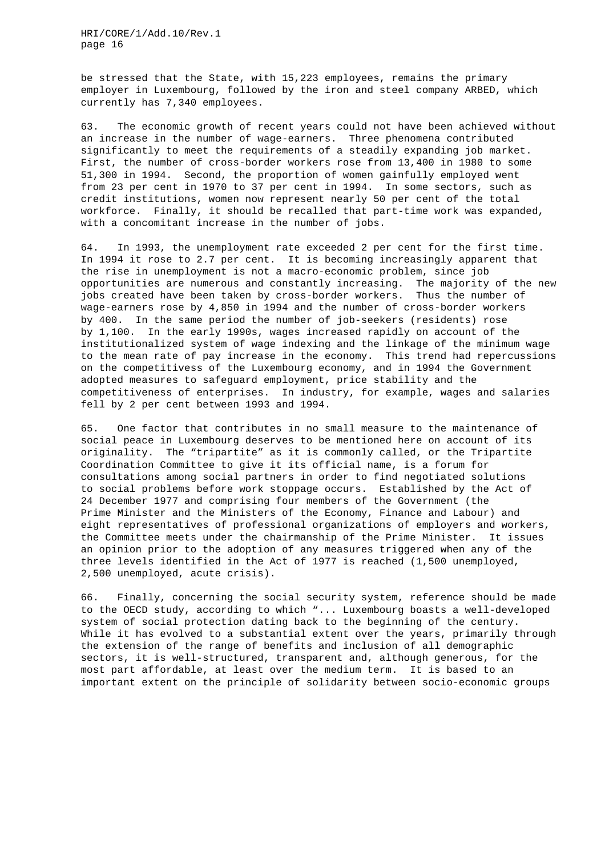be stressed that the State, with 15,223 employees, remains the primary employer in Luxembourg, followed by the iron and steel company ARBED, which currently has 7,340 employees.

63. The economic growth of recent years could not have been achieved without an increase in the number of wage-earners. Three phenomena contributed significantly to meet the requirements of a steadily expanding job market. First, the number of cross-border workers rose from 13,400 in 1980 to some 51,300 in 1994. Second, the proportion of women gainfully employed went from 23 per cent in 1970 to 37 per cent in 1994. In some sectors, such as credit institutions, women now represent nearly 50 per cent of the total workforce. Finally, it should be recalled that part-time work was expanded, with a concomitant increase in the number of jobs.

64. In 1993, the unemployment rate exceeded 2 per cent for the first time. In 1994 it rose to 2.7 per cent. It is becoming increasingly apparent that the rise in unemployment is not a macro-economic problem, since job opportunities are numerous and constantly increasing. The majority of the new jobs created have been taken by cross-border workers. Thus the number of wage-earners rose by 4,850 in 1994 and the number of cross-border workers by 400. In the same period the number of job-seekers (residents) rose by 1,100. In the early 1990s, wages increased rapidly on account of the institutionalized system of wage indexing and the linkage of the minimum wage to the mean rate of pay increase in the economy. This trend had repercussions on the competitivess of the Luxembourg economy, and in 1994 the Government adopted measures to safeguard employment, price stability and the competitiveness of enterprises. In industry, for example, wages and salaries fell by 2 per cent between 1993 and 1994.

65. One factor that contributes in no small measure to the maintenance of social peace in Luxembourg deserves to be mentioned here on account of its originality. The "tripartite" as it is commonly called, or the Tripartite Coordination Committee to give it its official name, is a forum for consultations among social partners in order to find negotiated solutions to social problems before work stoppage occurs. Established by the Act of 24 December 1977 and comprising four members of the Government (the Prime Minister and the Ministers of the Economy, Finance and Labour) and eight representatives of professional organizations of employers and workers, the Committee meets under the chairmanship of the Prime Minister. It issues an opinion prior to the adoption of any measures triggered when any of the three levels identified in the Act of 1977 is reached (1,500 unemployed, 2,500 unemployed, acute crisis).

66. Finally, concerning the social security system, reference should be made to the OECD study, according to which "... Luxembourg boasts a well-developed system of social protection dating back to the beginning of the century. While it has evolved to a substantial extent over the years, primarily through the extension of the range of benefits and inclusion of all demographic sectors, it is well-structured, transparent and, although generous, for the most part affordable, at least over the medium term. It is based to an important extent on the principle of solidarity between socio-economic groups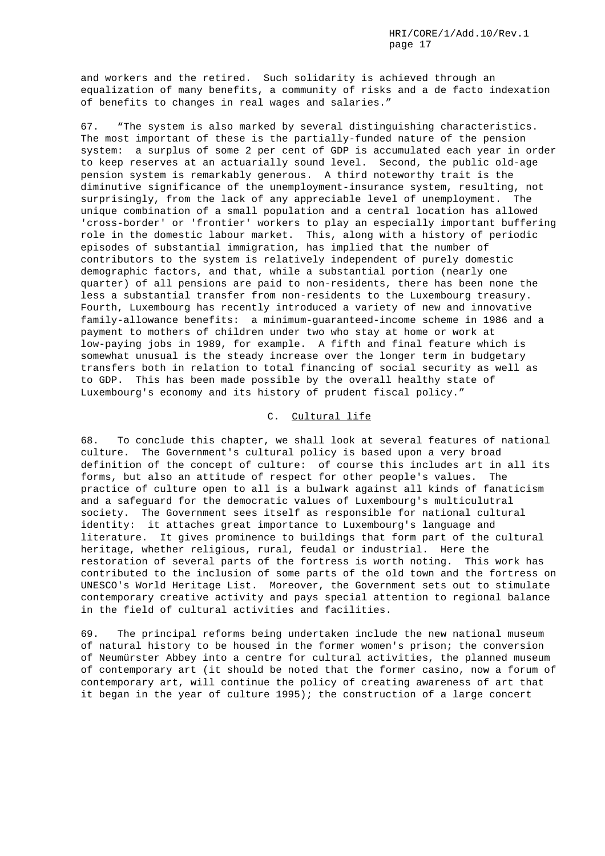and workers and the retired. Such solidarity is achieved through an equalization of many benefits, a community of risks and a de facto indexation of benefits to changes in real wages and salaries."

67. "The system is also marked by several distinguishing characteristics. The most important of these is the partially-funded nature of the pension system: a surplus of some 2 per cent of GDP is accumulated each year in order to keep reserves at an actuarially sound level. Second, the public old-age pension system is remarkably generous. A third noteworthy trait is the diminutive significance of the unemployment-insurance system, resulting, not surprisingly, from the lack of any appreciable level of unemployment. The unique combination of a small population and a central location has allowed 'cross-border' or 'frontier' workers to play an especially important buffering role in the domestic labour market. This, along with a history of periodic episodes of substantial immigration, has implied that the number of contributors to the system is relatively independent of purely domestic demographic factors, and that, while a substantial portion (nearly one quarter) of all pensions are paid to non-residents, there has been none the less a substantial transfer from non-residents to the Luxembourg treasury. Fourth, Luxembourg has recently introduced a variety of new and innovative family-allowance benefits: a minimum-guaranteed-income scheme in 1986 and a payment to mothers of children under two who stay at home or work at low-paying jobs in 1989, for example. A fifth and final feature which is somewhat unusual is the steady increase over the longer term in budgetary transfers both in relation to total financing of social security as well as to GDP. This has been made possible by the overall healthy state of Luxembourg's economy and its history of prudent fiscal policy."

# C. Cultural life

68. To conclude this chapter, we shall look at several features of national culture. The Government's cultural policy is based upon a very broad definition of the concept of culture: of course this includes art in all its forms, but also an attitude of respect for other people's values. The practice of culture open to all is a bulwark against all kinds of fanaticism and a safeguard for the democratic values of Luxembourg's multiculutral society. The Government sees itself as responsible for national cultural identity: it attaches great importance to Luxembourg's language and literature. It gives prominence to buildings that form part of the cultural heritage, whether religious, rural, feudal or industrial. Here the restoration of several parts of the fortress is worth noting. This work has contributed to the inclusion of some parts of the old town and the fortress on UNESCO's World Heritage List. Moreover, the Government sets out to stimulate contemporary creative activity and pays special attention to regional balance in the field of cultural activities and facilities.

69. The principal reforms being undertaken include the new national museum of natural history to be housed in the former women's prison; the conversion of Neumürster Abbey into a centre for cultural activities, the planned museum of contemporary art (it should be noted that the former casino, now a forum of contemporary art, will continue the policy of creating awareness of art that it began in the year of culture 1995); the construction of a large concert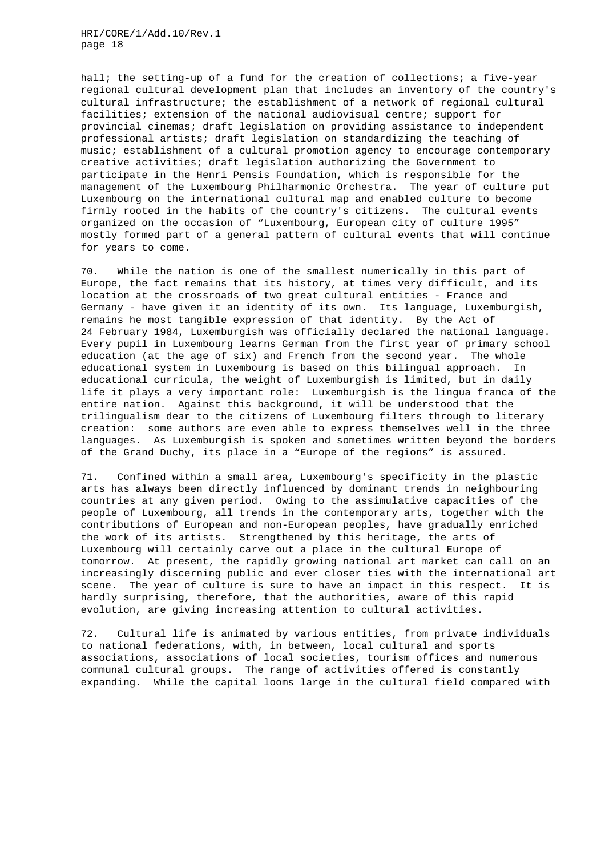hall; the setting-up of a fund for the creation of collections; a five-year regional cultural development plan that includes an inventory of the country's cultural infrastructure; the establishment of a network of regional cultural facilities; extension of the national audiovisual centre; support for provincial cinemas; draft legislation on providing assistance to independent professional artists; draft legislation on standardizing the teaching of music; establishment of a cultural promotion agency to encourage contemporary creative activities; draft legislation authorizing the Government to participate in the Henri Pensis Foundation, which is responsible for the management of the Luxembourg Philharmonic Orchestra. The year of culture put Luxembourg on the international cultural map and enabled culture to become firmly rooted in the habits of the country's citizens. The cultural events organized on the occasion of "Luxembourg, European city of culture 1995" mostly formed part of a general pattern of cultural events that will continue for years to come.

70. While the nation is one of the smallest numerically in this part of Europe, the fact remains that its history, at times very difficult, and its location at the crossroads of two great cultural entities - France and Germany - have given it an identity of its own. Its language, Luxemburgish, remains he most tangible expression of that identity. By the Act of 24 February 1984, Luxemburgish was officially declared the national language. Every pupil in Luxembourg learns German from the first year of primary school education (at the age of six) and French from the second year. The whole educational system in Luxembourg is based on this bilingual approach. In educational curricula, the weight of Luxemburgish is limited, but in daily life it plays a very important role: Luxemburgish is the lingua franca of the entire nation. Against this background, it will be understood that the trilingualism dear to the citizens of Luxembourg filters through to literary creation: some authors are even able to express themselves well in the three languages. As Luxemburgish is spoken and sometimes written beyond the borders of the Grand Duchy, its place in a "Europe of the regions" is assured.

71. Confined within a small area, Luxembourg's specificity in the plastic arts has always been directly influenced by dominant trends in neighbouring countries at any given period. Owing to the assimulative capacities of the people of Luxembourg, all trends in the contemporary arts, together with the contributions of European and non-European peoples, have gradually enriched the work of its artists. Strengthened by this heritage, the arts of Luxembourg will certainly carve out a place in the cultural Europe of tomorrow. At present, the rapidly growing national art market can call on an increasingly discerning public and ever closer ties with the international art scene. The year of culture is sure to have an impact in this respect. It is hardly surprising, therefore, that the authorities, aware of this rapid evolution, are giving increasing attention to cultural activities.

72. Cultural life is animated by various entities, from private individuals to national federations, with, in between, local cultural and sports associations, associations of local societies, tourism offices and numerous communal cultural groups. The range of activities offered is constantly expanding. While the capital looms large in the cultural field compared with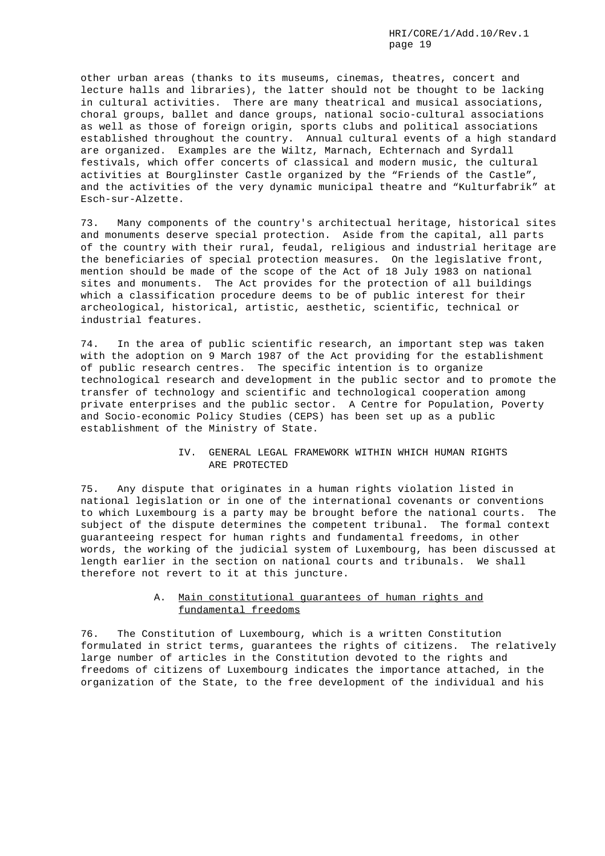other urban areas (thanks to its museums, cinemas, theatres, concert and lecture halls and libraries), the latter should not be thought to be lacking in cultural activities. There are many theatrical and musical associations, choral groups, ballet and dance groups, national socio-cultural associations as well as those of foreign origin, sports clubs and political associations established throughout the country. Annual cultural events of a high standard are organized. Examples are the Wiltz, Marnach, Echternach and Syrdall festivals, which offer concerts of classical and modern music, the cultural activities at Bourglinster Castle organized by the "Friends of the Castle", and the activities of the very dynamic municipal theatre and "Kulturfabrik" at Esch-sur-Alzette.

73. Many components of the country's architectual heritage, historical sites and monuments deserve special protection. Aside from the capital, all parts of the country with their rural, feudal, religious and industrial heritage are the beneficiaries of special protection measures. On the legislative front, mention should be made of the scope of the Act of 18 July 1983 on national sites and monuments. The Act provides for the protection of all buildings which a classification procedure deems to be of public interest for their archeological, historical, artistic, aesthetic, scientific, technical or industrial features.

74. In the area of public scientific research, an important step was taken with the adoption on 9 March 1987 of the Act providing for the establishment of public research centres. The specific intention is to organize technological research and development in the public sector and to promote the transfer of technology and scientific and technological cooperation among private enterprises and the public sector. A Centre for Population, Poverty and Socio-economic Policy Studies (CEPS) has been set up as a public establishment of the Ministry of State.

# IV. GENERAL LEGAL FRAMEWORK WITHIN WHICH HUMAN RIGHTS ARE PROTECTED

75. Any dispute that originates in a human rights violation listed in national legislation or in one of the international covenants or conventions to which Luxembourg is a party may be brought before the national courts. The subject of the dispute determines the competent tribunal. The formal context guaranteeing respect for human rights and fundamental freedoms, in other words, the working of the judicial system of Luxembourg, has been discussed at length earlier in the section on national courts and tribunals. We shall therefore not revert to it at this juncture.

# A. Main constitutional guarantees of human rights and fundamental freedoms

76. The Constitution of Luxembourg, which is a written Constitution formulated in strict terms, guarantees the rights of citizens. The relatively large number of articles in the Constitution devoted to the rights and freedoms of citizens of Luxembourg indicates the importance attached, in the organization of the State, to the free development of the individual and his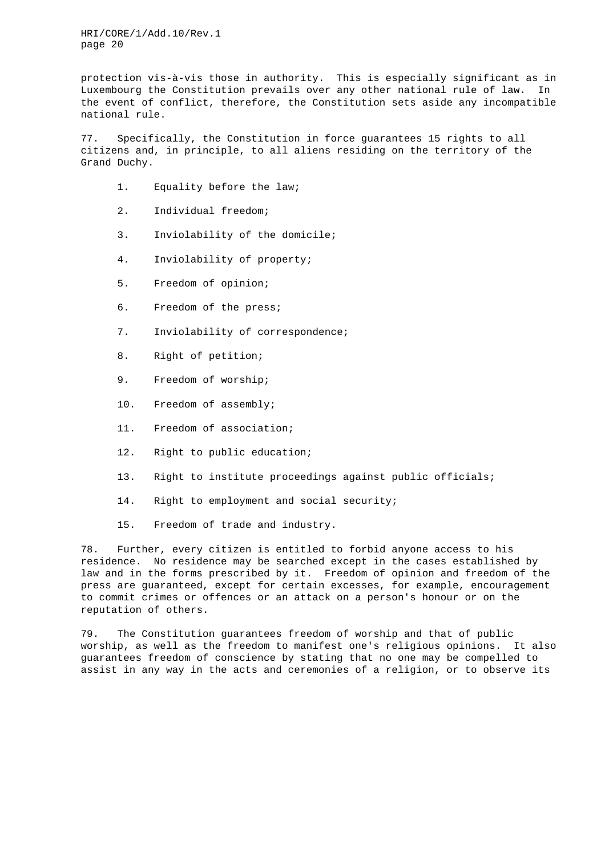protection vis-à-vis those in authority. This is especially significant as in Luxembourg the Constitution prevails over any other national rule of law. In the event of conflict, therefore, the Constitution sets aside any incompatible national rule.

77. Specifically, the Constitution in force guarantees 15 rights to all citizens and, in principle, to all aliens residing on the territory of the Grand Duchy.

- 1. Equality before the law;
- 2. Individual freedom;
- 3. Inviolability of the domicile;
- 4. Inviolability of property;
- 5. Freedom of opinion;
- 6. Freedom of the press;
- 7. Inviolability of correspondence;
- 8. Right of petition;
- 9. Freedom of worship;
- 10. Freedom of assembly;
- 11. Freedom of association;
- 12. Right to public education;
- 13. Right to institute proceedings against public officials;
- 14. Right to employment and social security;
- 15. Freedom of trade and industry.

78. Further, every citizen is entitled to forbid anyone access to his residence. No residence may be searched except in the cases established by law and in the forms prescribed by it. Freedom of opinion and freedom of the press are guaranteed, except for certain excesses, for example, encouragement to commit crimes or offences or an attack on a person's honour or on the reputation of others.

79. The Constitution guarantees freedom of worship and that of public worship, as well as the freedom to manifest one's religious opinions. It also guarantees freedom of conscience by stating that no one may be compelled to assist in any way in the acts and ceremonies of a religion, or to observe its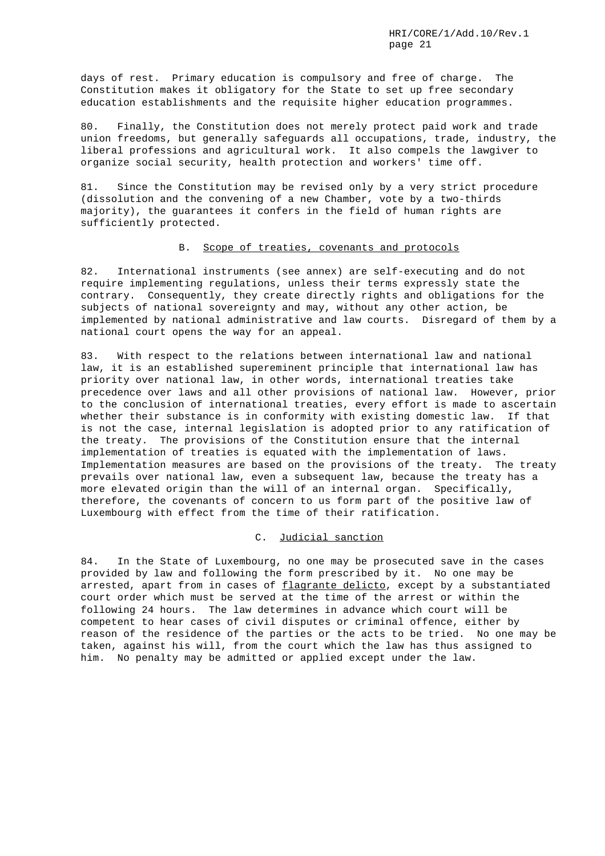days of rest. Primary education is compulsory and free of charge. The Constitution makes it obligatory for the State to set up free secondary education establishments and the requisite higher education programmes.

80. Finally, the Constitution does not merely protect paid work and trade union freedoms, but generally safeguards all occupations, trade, industry, the liberal professions and agricultural work. It also compels the lawgiver to organize social security, health protection and workers' time off.

81. Since the Constitution may be revised only by a very strict procedure (dissolution and the convening of a new Chamber, vote by a two-thirds majority), the guarantees it confers in the field of human rights are sufficiently protected.

### B. Scope of treaties, covenants and protocols

82. International instruments (see annex) are self-executing and do not require implementing regulations, unless their terms expressly state the contrary. Consequently, they create directly rights and obligations for the subjects of national sovereignty and may, without any other action, be implemented by national administrative and law courts. Disregard of them by a national court opens the way for an appeal.

83. With respect to the relations between international law and national law, it is an established supereminent principle that international law has priority over national law, in other words, international treaties take precedence over laws and all other provisions of national law. However, prior to the conclusion of international treaties, every effort is made to ascertain whether their substance is in conformity with existing domestic law. If that is not the case, internal legislation is adopted prior to any ratification of the treaty. The provisions of the Constitution ensure that the internal implementation of treaties is equated with the implementation of laws. Implementation measures are based on the provisions of the treaty. The treaty prevails over national law, even a subsequent law, because the treaty has a more elevated origin than the will of an internal organ. Specifically, therefore, the covenants of concern to us form part of the positive law of Luxembourg with effect from the time of their ratification.

#### C. Judicial sanction

84. In the State of Luxembourg, no one may be prosecuted save in the cases provided by law and following the form prescribed by it. No one may be arrested, apart from in cases of flagrante delicto, except by a substantiated court order which must be served at the time of the arrest or within the following 24 hours. The law determines in advance which court will be competent to hear cases of civil disputes or criminal offence, either by reason of the residence of the parties or the acts to be tried. No one may be taken, against his will, from the court which the law has thus assigned to him. No penalty may be admitted or applied except under the law.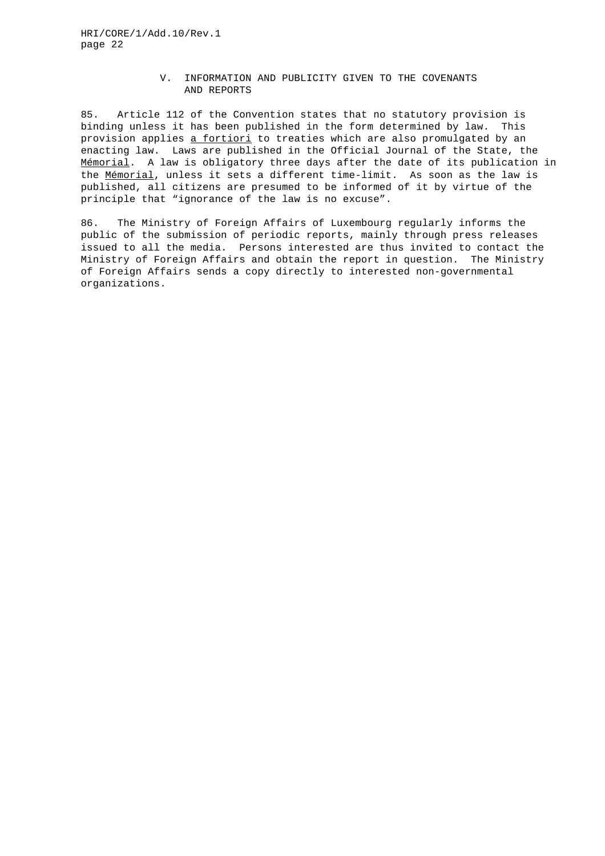# V. INFORMATION AND PUBLICITY GIVEN TO THE COVENANTS AND REPORTS

85. Article 112 of the Convention states that no statutory provision is binding unless it has been published in the form determined by law. This provision applies a fortiori to treaties which are also promulgated by an enacting law. Laws are published in the Official Journal of the State, the Mémorial. A law is obligatory three days after the date of its publication in the Mémorial, unless it sets a different time-limit. As soon as the law is published, all citizens are presumed to be informed of it by virtue of the principle that "ignorance of the law is no excuse".

86. The Ministry of Foreign Affairs of Luxembourg regularly informs the public of the submission of periodic reports, mainly through press releases issued to all the media. Persons interested are thus invited to contact the Ministry of Foreign Affairs and obtain the report in question. The Ministry of Foreign Affairs sends a copy directly to interested non-governmental organizations.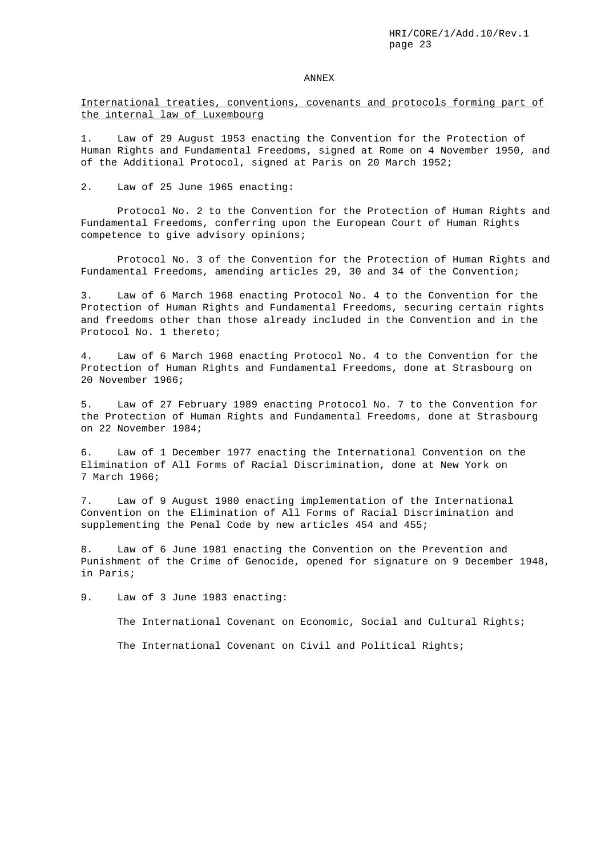#### ANNEX

# International treaties, conventions, covenants and protocols forming part of the internal law of Luxembourg

1. Law of 29 August 1953 enacting the Convention for the Protection of Human Rights and Fundamental Freedoms, signed at Rome on 4 November 1950, and of the Additional Protocol, signed at Paris on 20 March 1952;

2. Law of 25 June 1965 enacting:

Protocol No. 2 to the Convention for the Protection of Human Rights and Fundamental Freedoms, conferring upon the European Court of Human Rights competence to give advisory opinions;

Protocol No. 3 of the Convention for the Protection of Human Rights and Fundamental Freedoms, amending articles 29, 30 and 34 of the Convention;

3. Law of 6 March 1968 enacting Protocol No. 4 to the Convention for the Protection of Human Rights and Fundamental Freedoms, securing certain rights and freedoms other than those already included in the Convention and in the Protocol No. 1 thereto;

4. Law of 6 March 1968 enacting Protocol No. 4 to the Convention for the Protection of Human Rights and Fundamental Freedoms, done at Strasbourg on 20 November 1966;

5. Law of 27 February 1989 enacting Protocol No. 7 to the Convention for the Protection of Human Rights and Fundamental Freedoms, done at Strasbourg on 22 November 1984;

6. Law of 1 December 1977 enacting the International Convention on the Elimination of All Forms of Racial Discrimination, done at New York on 7 March 1966;

7. Law of 9 August 1980 enacting implementation of the International Convention on the Elimination of All Forms of Racial Discrimination and supplementing the Penal Code by new articles 454 and 455;

8. Law of 6 June 1981 enacting the Convention on the Prevention and Punishment of the Crime of Genocide, opened for signature on 9 December 1948, in Paris;

9. Law of 3 June 1983 enacting:

The International Covenant on Economic, Social and Cultural Rights;

The International Covenant on Civil and Political Rights;